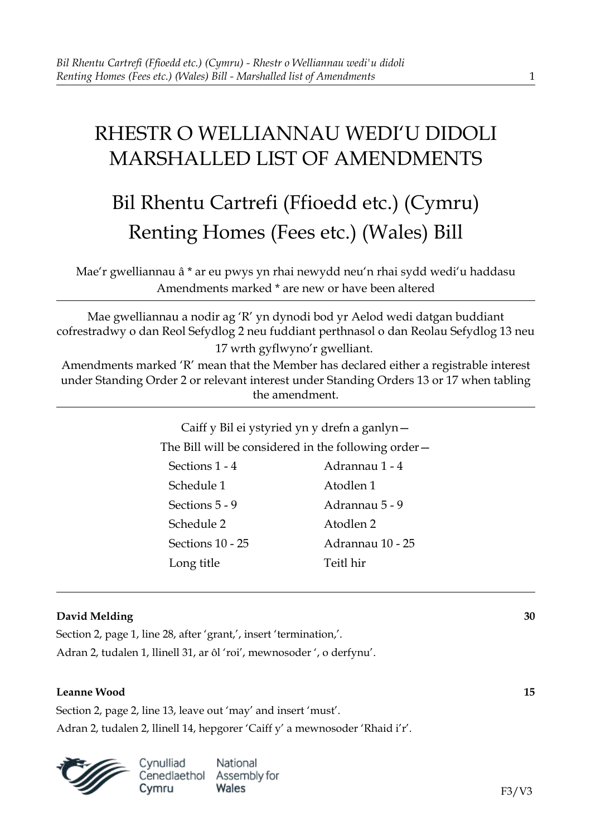# RHESTR O WELLIANNAU WEDI'U DIDOLI MARSHALLED LIST OF AMENDMENTS

# Bil Rhentu Cartrefi (Ffioedd etc.) (Cymru) Renting Homes (Fees etc.) (Wales) Bill

Mae'r gwelliannau â \* ar eu pwys yn rhai newydd neu'n rhai sydd wedi'u haddasu Amendments marked \* are new or have been altered

Mae gwelliannau a nodir ag 'R' yn dynodi bod yr Aelod wedi datgan buddiant cofrestradwy o dan Reol Sefydlog 2 neu fuddiant perthnasol o dan Reolau Sefydlog 13 neu 17 wrth gyflwyno'r gwelliant.

Amendments marked 'R' mean that the Member has declared either a registrable interest under Standing Order 2 or relevant interest under Standing Orders 13 or 17 when tabling the amendment.

> Caiff y Bil ei ystyried yn y drefn a ganlyn— The Bill will be considered in the following order—

Sections 1 - 4 Adrannau 1 - 4 Schedule 1 Atodlen 1 Sections 5 - 9 Adrannau 5 - 9 Schedule 2 Atodlen 2 Sections 10 - 25 Adrannau 10 - 25

Long title Teitl hir

# **David Melding 30**

Section 2, page 1, line 28, after 'grant,', insert 'termination,'. Adran 2, tudalen 1, llinell 31, ar ôl 'roi', mewnosoder ', o derfynu'.

# **Leanne Wood 15**

Section 2, page 2, line 13, leave out 'may' and insert 'must'. Adran 2, tudalen 2, llinell 14, hepgorer 'Caiff y' a mewnosoder 'Rhaid i'r'.



National Cenedlaethol Assembly for Wales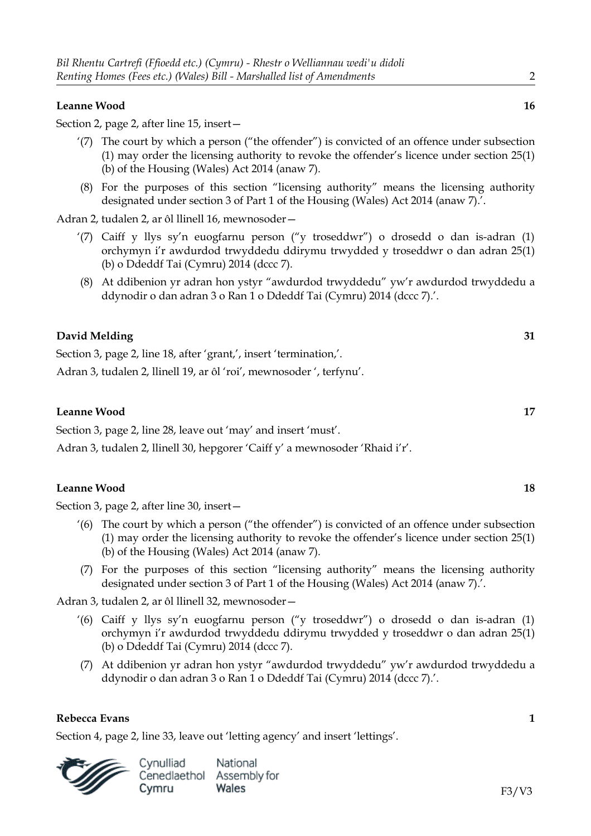#### **Leanne Wood 16**

Section 2, page 2, after line 15, insert—

- '(7) The court by which a person ("the offender") is convicted of an offence under subsection (1) may order the licensing authority to revoke the offender's licence under section 25(1) (b) of the Housing (Wales) Act 2014 (anaw 7).
- (8) For the purposes of this section "licensing authority" means the licensing authority designated under section 3 of Part 1 of the Housing (Wales) Act 2014 (anaw 7).'.

Adran 2, tudalen 2, ar ôl llinell 16, mewnosoder—

- '(7) Caiff y llys sy'n euogfarnu person ("y troseddwr") o drosedd o dan is-adran (1) orchymyn i'r awdurdod trwyddedu ddirymu trwydded y troseddwr o dan adran 25(1) (b) o Ddeddf Tai (Cymru) 2014 (dccc 7).
- (8) At ddibenion yr adran hon ystyr "awdurdod trwyddedu" yw'r awdurdod trwyddedu a ddynodir o dan adran 3 o Ran 1 o Ddeddf Tai (Cymru) 2014 (dccc 7).'.

# **David Melding 31**

Section 3, page 2, line 18, after 'grant', insert 'termination'.

Adran 3, tudalen 2, llinell 19, ar ôl 'roi', mewnosoder ', terfynu'.

#### **Leanne Wood 17**

Section 3, page 2, line 28, leave out 'may' and insert 'must'.

Adran 3, tudalen 2, llinell 30, hepgorer 'Caiff y' a mewnosoder 'Rhaid i'r'.

#### **Leanne Wood 18**

Section 3, page 2, after line 30, insert—

- '(6) The court by which a person ("the offender") is convicted of an offence under subsection (1) may order the licensing authority to revoke the offender's licence under section 25(1) (b) of the Housing (Wales) Act 2014 (anaw 7).
- (7) For the purposes of this section "licensing authority" means the licensing authority designated under section 3 of Part 1 of the Housing (Wales) Act 2014 (anaw 7).'.

Adran 3, tudalen 2, ar ôl llinell 32, mewnosoder—

- '(6) Caiff y llys sy'n euogfarnu person ("y troseddwr") o drosedd o dan is-adran (1) orchymyn i'r awdurdod trwyddedu ddirymu trwydded y troseddwr o dan adran 25(1) (b) o Ddeddf Tai (Cymru) 2014 (dccc 7).
- (7) At ddibenion yr adran hon ystyr "awdurdod trwyddedu" yw'r awdurdod trwyddedu a ddynodir o dan adran 3 o Ran 1 o Ddeddf Tai (Cymru) 2014 (dccc 7).'.

#### **Rebecca Evans 1**

Section 4, page 2, line 33, leave out 'letting agency' and insert 'lettings'.

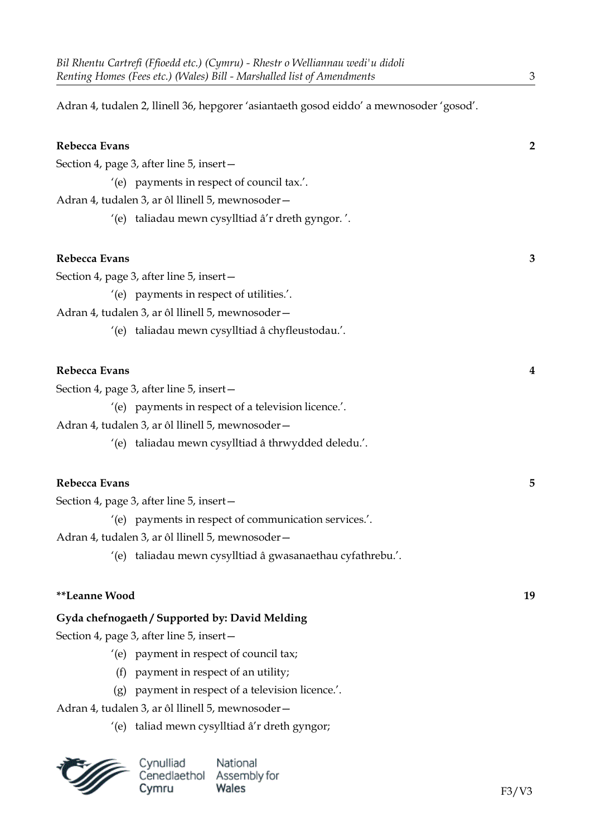Adran 4, tudalen 2, llinell 36, hepgorer 'asiantaeth gosod eiddo' a mewnosoder 'gosod'.

| Rebecca Evans                                    |                                                            | $\overline{2}$ |
|--------------------------------------------------|------------------------------------------------------------|----------------|
|                                                  | Section 4, page 3, after line 5, insert-                   |                |
|                                                  | '(e) payments in respect of council tax.'.                 |                |
| Adran 4, tudalen 3, ar ôl llinell 5, mewnosoder- |                                                            |                |
|                                                  | '(e) taliadau mewn cysylltiad â'r dreth gyngor.'.          |                |
| Rebecca Evans                                    |                                                            | 3              |
|                                                  | Section 4, page 3, after line 5, insert-                   |                |
|                                                  | '(e) payments in respect of utilities.'.                   |                |
|                                                  | Adran 4, tudalen 3, ar ôl llinell 5, mewnosoder-           |                |
|                                                  | '(e) taliadau mewn cysylltiad â chyfleustodau.'.           |                |
| Rebecca Evans                                    |                                                            | 4              |
| Section 4, page 3, after line 5, insert-         |                                                            |                |
|                                                  | '(e) payments in respect of a television licence.'.        |                |
|                                                  | Adran 4, tudalen 3, ar ôl llinell 5, mewnosoder-           |                |
|                                                  | '(e) taliadau mewn cysylltiad â thrwydded deledu.'.        |                |
| Rebecca Evans                                    |                                                            | 5              |
|                                                  | Section 4, page 3, after line 5, insert -                  |                |
|                                                  | '(e) payments in respect of communication services.'.      |                |
| Adran 4, tudalen 3, ar ôl llinell 5, mewnosoder- |                                                            |                |
|                                                  | '(e) taliadau mewn cysylltiad â gwasanaethau cyfathrebu.'. |                |
| **Leanne Wood                                    |                                                            | 19             |
|                                                  | Gyda chefnogaeth / Supported by: David Melding             |                |
|                                                  | Section 4, page 3, after line 5, insert-                   |                |
|                                                  | '(e) payment in respect of council tax;                    |                |
| (f)                                              | payment in respect of an utility;                          |                |
| (g)                                              | payment in respect of a television licence.'.              |                |
|                                                  | Adran 4, tudalen 3, ar ôl llinell 5, mewnosoder-           |                |
|                                                  | '(e) taliad mewn cysylltiad â'r dreth gyngor;              |                |

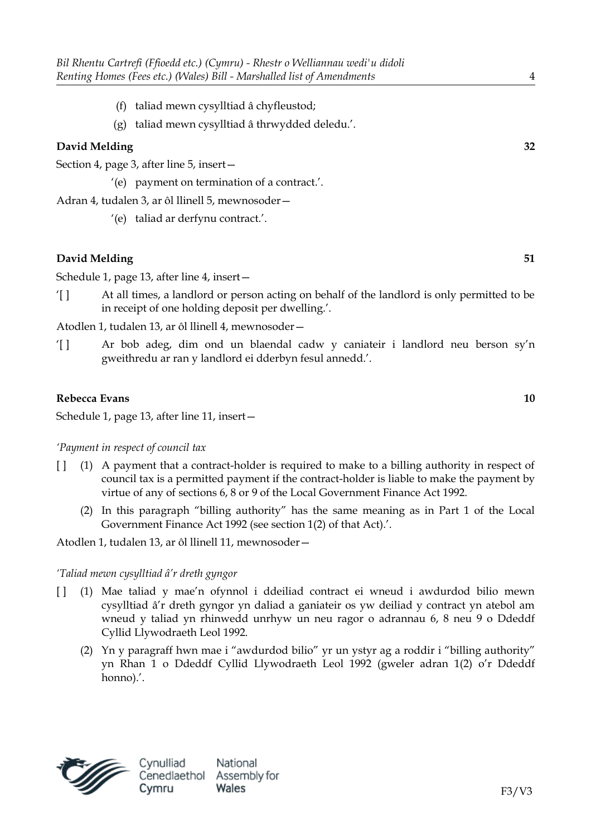- (f) taliad mewn cysylltiad â chyfleustod;
- (g) taliad mewn cysylltiad â thrwydded deledu.'.

Section 4, page 3, after line 5, insert—

'(e) payment on termination of a contract.'.

Adran 4, tudalen 3, ar ôl llinell 5, mewnosoder—

'(e) taliad ar derfynu contract.'.

# **David Melding 51**

Schedule 1, page 13, after line 4, insert—

'[ ] At all times, a landlord or person acting on behalf of the landlord is only permitted to be in receipt of one holding deposit per dwelling.'.

Atodlen 1, tudalen 13, ar ôl llinell 4, mewnosoder—

'[ ] Ar bob adeg, dim ond un blaendal cadw y caniateir i landlord neu berson sy'n gweithredu ar ran y landlord ei dderbyn fesul annedd.'.

### **Rebecca Evans 10**

Schedule 1, page 13, after line 11, insert—

*'Payment in respect of council tax*

- [ ] (1) A payment that a contract-holder is required to make to a billing authority in respect of council tax is a permitted payment if the contract-holder is liable to make the payment by virtue of any of sections 6, 8 or 9 of the Local Government Finance Act 1992.
	- (2) In this paragraph "billing authority" has the same meaning as in Part 1 of the Local Government Finance Act 1992 (see section 1(2) of that Act).'.

Atodlen 1, tudalen 13, ar ôl llinell 11, mewnosoder—

### *'Taliad mewn cysylltiad â'r dreth gyngor*

- [ ] (1) Mae taliad y mae'n ofynnol i ddeiliad contract ei wneud i awdurdod bilio mewn cysylltiad â'r dreth gyngor yn daliad a ganiateir os yw deiliad y contract yn atebol am wneud y taliad yn rhinwedd unrhyw un neu ragor o adrannau 6, 8 neu 9 o Ddeddf Cyllid Llywodraeth Leol 1992.
	- (2) Yn y paragraff hwn mae i "awdurdod bilio" yr un ystyr ag a roddir i "billing authority" yn Rhan 1 o Ddeddf Cyllid Llywodraeth Leol 1992 (gweler adran 1(2) o'r Ddeddf honno).'.

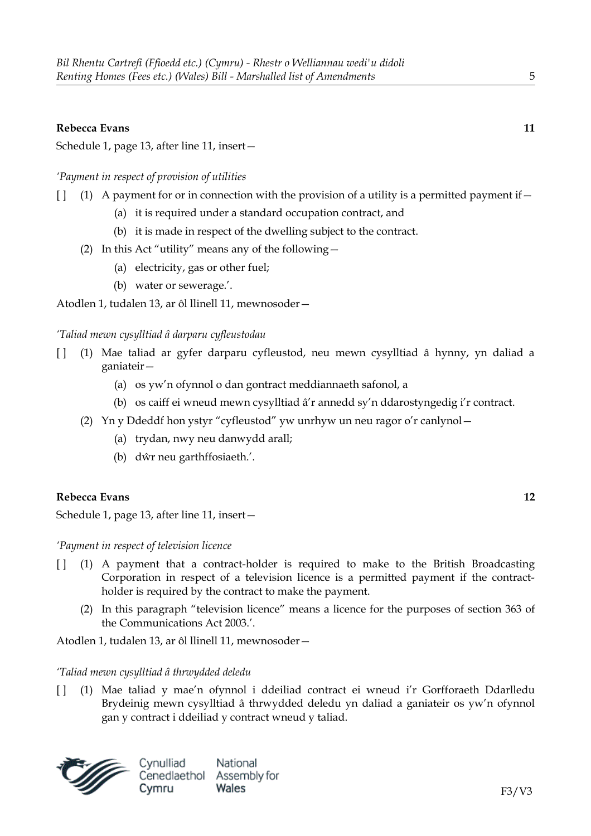### **Rebecca Evans 11**

Schedule 1, page 13, after line 11, insert—

### *'Payment in respect of provision of utilities*

- $\begin{bmatrix} 1 \\ 1 \end{bmatrix}$  (1) A payment for or in connection with the provision of a utility is a permitted payment if—
	- (a) it is required under a standard occupation contract, and
	- (b) it is made in respect of the dwelling subject to the contract.
	- (2) In this Act "utility" means any of the following—
		- (a) electricity, gas or other fuel;
		- (b) water or sewerage.'.

Atodlen 1, tudalen 13, ar ôl llinell 11, mewnosoder—

### *'Taliad mewn cysylltiad â darparu cyfleustodau*

- [ ] (1) Mae taliad ar gyfer darparu cyfleustod, neu mewn cysylltiad â hynny, yn daliad a ganiateir—
	- (a) os yw'n ofynnol o dan gontract meddiannaeth safonol, a
	- (b) os caiff ei wneud mewn cysylltiad â'r annedd sy'n ddarostyngedig i'r contract.
	- (2) Yn y Ddeddf hon ystyr "cyfleustod" yw unrhyw un neu ragor o'r canlynol—
		- (a) trydan, nwy neu danwydd arall;
		- (b) dŵr neu garthffosiaeth.'.

### **Rebecca Evans 12**

Schedule 1, page 13, after line 11, insert—

*'Payment in respect of television licence*

- [ ] (1) A payment that a contract-holder is required to make to the British Broadcasting Corporation in respect of a television licence is a permitted payment if the contractholder is required by the contract to make the payment.
	- (2) In this paragraph "television licence" means a licence for the purposes of section 363 of the Communications Act 2003.'.

Atodlen 1, tudalen 13, ar ôl llinell 11, mewnosoder—

### *'Taliad mewn cysylltiad â thrwydded deledu*

[ ] (1) Mae taliad y mae'n ofynnol i ddeiliad contract ei wneud i'r Gorfforaeth Ddarlledu Brydeinig mewn cysylltiad â thrwydded deledu yn daliad a ganiateir os yw'n ofynnol gan y contract i ddeiliad y contract wneud y taliad.

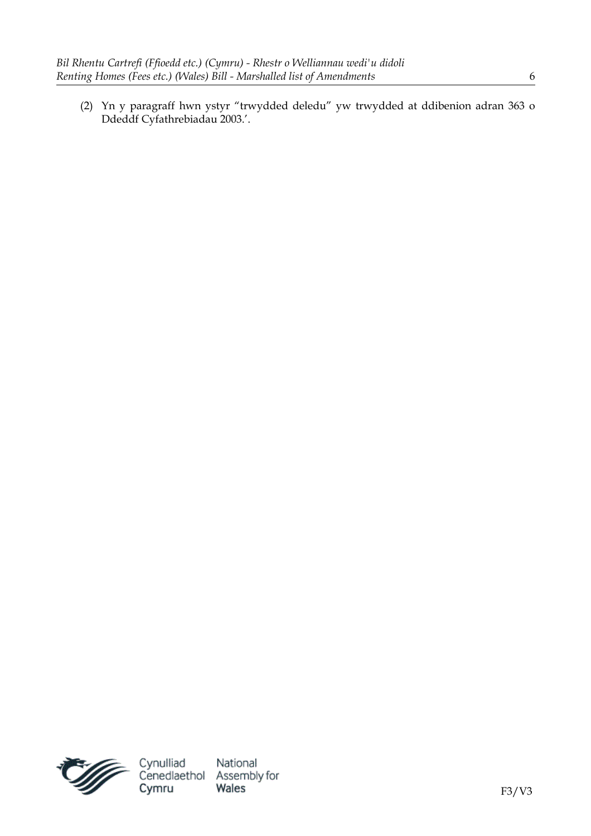(2) Yn y paragraff hwn ystyr "trwydded deledu" yw trwydded at ddibenion adran 363 o Ddeddf Cyfathrebiadau 2003.'.

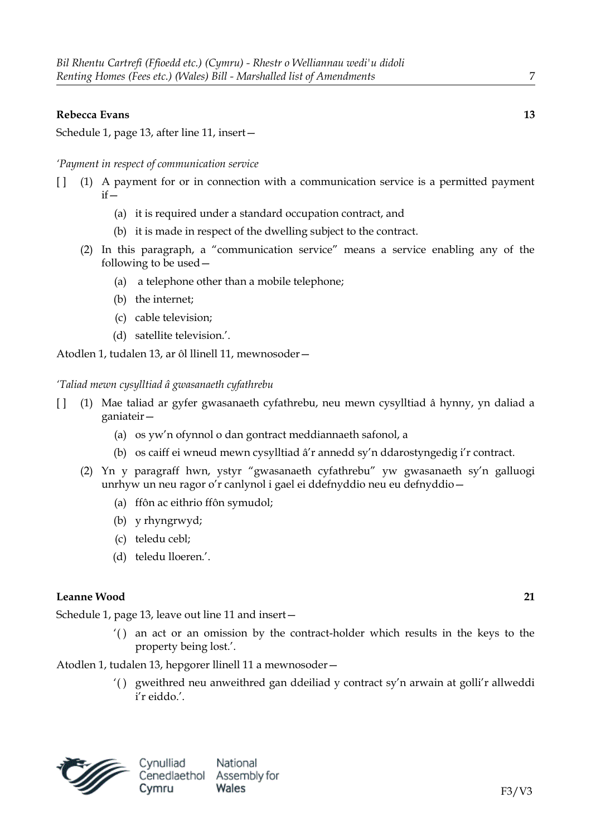#### **Rebecca Evans 13**

Schedule 1, page 13, after line 11, insert—

#### *'Payment in respect of communication service*

- [ ] (1) A payment for or in connection with a communication service is a permitted payment  $if -$ 
	- (a) it is required under a standard occupation contract, and
	- (b) it is made in respect of the dwelling subject to the contract.
	- (2) In this paragraph, a "communication service" means a service enabling any of the following to be used—
		- (a) a telephone other than a mobile telephone;
		- (b) the internet;
		- (c) cable television;
		- (d) satellite television.'.

Atodlen 1, tudalen 13, ar ôl llinell 11, mewnosoder—

#### *'Taliad mewn cysylltiad â gwasanaeth cyfathrebu*

- [ ] (1) Mae taliad ar gyfer gwasanaeth cyfathrebu, neu mewn cysylltiad â hynny, yn daliad a ganiateir—
	- (a) os yw'n ofynnol o dan gontract meddiannaeth safonol, a
	- (b) os caiff ei wneud mewn cysylltiad â'r annedd sy'n ddarostyngedig i'r contract.
	- (2) Yn y paragraff hwn, ystyr "gwasanaeth cyfathrebu" yw gwasanaeth sy'n galluogi unrhyw un neu ragor o'r canlynol i gael ei ddefnyddio neu eu defnyddio—
		- (a) ffôn ac eithrio ffôn symudol;
		- (b) y rhyngrwyd;
		- (c) teledu cebl;
		- (d) teledu lloeren.'.

#### **Leanne Wood 21**

Schedule 1, page 13, leave out line 11 and insert—

'( ) an act or an omission by the contract-holder which results in the keys to the property being lost.'.

Atodlen 1, tudalen 13, hepgorer llinell 11 a mewnosoder—

'( ) gweithred neu anweithred gan ddeiliad y contract sy'n arwain at golli'r allweddi i'r eiddo.'.

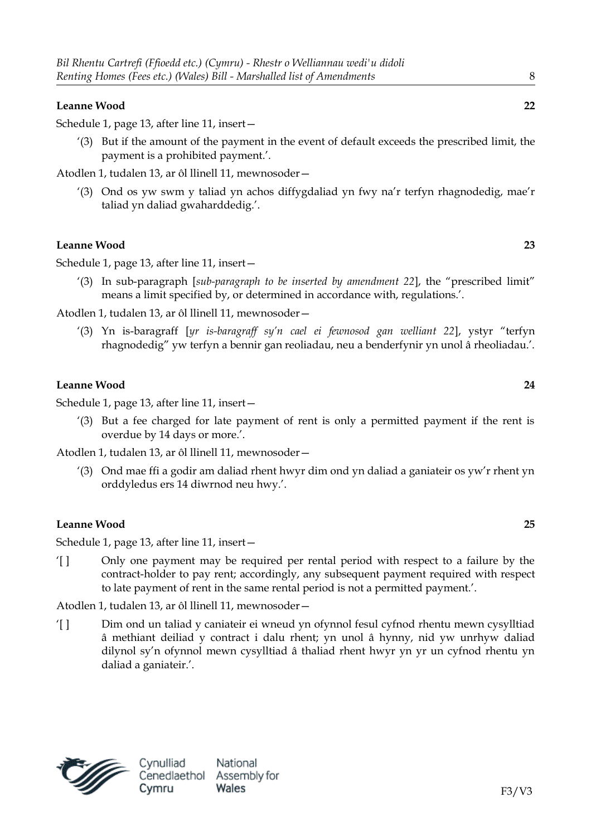# **Leanne Wood 22**

Schedule 1, page 13, after line 11, insert—

'(3) But if the amount of the payment in the event of default exceeds the prescribed limit, the payment is a prohibited payment.'.

Atodlen 1, tudalen 13, ar ôl llinell 11, mewnosoder—

'(3) Ond os yw swm y taliad yn achos diffygdaliad yn fwy na'r terfyn rhagnodedig, mae'r taliad yn daliad gwaharddedig.'.

# **Leanne Wood 23**

Schedule 1, page 13, after line 11, insert—

'(3) In sub-paragraph [*sub-paragraph to be inserted by amendment 22*], the "prescribed limit" means a limit specified by, or determined in accordance with, regulations.'.

Atodlen 1, tudalen 13, ar ôl llinell 11, mewnosoder—

'(3) Yn is-baragraff [*yr is-baragraff sy'n cael ei fewnosod gan welliant 22*], ystyr "terfyn rhagnodedig" yw terfyn a bennir gan reoliadau, neu a benderfynir yn unol â rheoliadau.'.

### **Leanne Wood 24**

Schedule 1, page 13, after line 11, insert—

'(3) But a fee charged for late payment of rent is only a permitted payment if the rent is overdue by 14 days or more.'.

Atodlen 1, tudalen 13, ar ôl llinell 11, mewnosoder—

'(3) Ond mae ffi a godir am daliad rhent hwyr dim ond yn daliad a ganiateir os yw'r rhent yn orddyledus ers 14 diwrnod neu hwy.'.

### **Leanne Wood 25**

Schedule 1, page 13, after line 11, insert—

'[ ] Only one payment may be required per rental period with respect to a failure by the contract-holder to pay rent; accordingly, any subsequent payment required with respect to late payment of rent in the same rental period is not a permitted payment.'.

Atodlen 1, tudalen 13, ar ôl llinell 11, mewnosoder—

'[ ] Dim ond un taliad y caniateir ei wneud yn ofynnol fesul cyfnod rhentu mewn cysylltiad â methiant deiliad y contract i dalu rhent; yn unol â hynny, nid yw unrhyw daliad dilynol sy'n ofynnol mewn cysylltiad â thaliad rhent hwyr yn yr un cyfnod rhentu yn daliad a ganiateir.'.

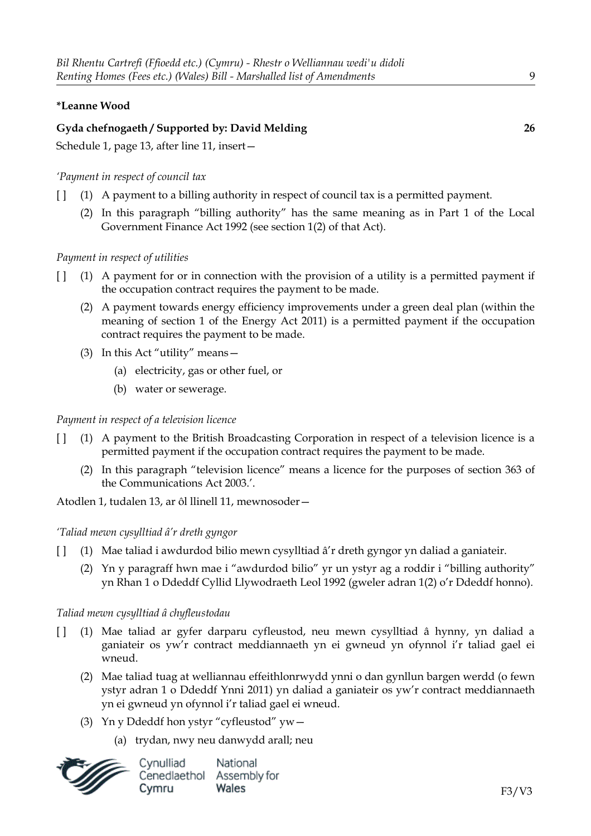# **\*Leanne Wood**

# **Gyda chefnogaeth / Supported by: David Melding 26**

Schedule 1, page 13, after line 11, insert—

### *'Payment in respect of council tax*

- [ ] (1) A payment to a billing authority in respect of council tax is a permitted payment.
	- (2) In this paragraph "billing authority" has the same meaning as in Part 1 of the Local Government Finance Act 1992 (see section 1(2) of that Act).

#### *Payment in respect of utilities*

- [ ] (1) A payment for or in connection with the provision of a utility is a permitted payment if the occupation contract requires the payment to be made.
	- (2) A payment towards energy efficiency improvements under a green deal plan (within the meaning of section 1 of the Energy Act 2011) is a permitted payment if the occupation contract requires the payment to be made.
	- (3) In this Act "utility" means—
		- (a) electricity, gas or other fuel, or
		- (b) water or sewerage.

# *Payment in respect of a television licence*

- [ ] (1) A payment to the British Broadcasting Corporation in respect of a television licence is a permitted payment if the occupation contract requires the payment to be made.
	- (2) In this paragraph "television licence" means a licence for the purposes of section 363 of the Communications Act 2003.'.

Atodlen 1, tudalen 13, ar ôl llinell 11, mewnosoder—

#### *'Taliad mewn cysylltiad â'r dreth gyngor*

- [ ] (1) Mae taliad i awdurdod bilio mewn cysylltiad â'r dreth gyngor yn daliad a ganiateir.
	- (2) Yn y paragraff hwn mae i "awdurdod bilio" yr un ystyr ag a roddir i "billing authority" yn Rhan 1 o Ddeddf Cyllid Llywodraeth Leol 1992 (gweler adran 1(2) o'r Ddeddf honno).

#### *Taliad mewn cysylltiad â chyfleustodau*

- [ ] (1) Mae taliad ar gyfer darparu cyfleustod, neu mewn cysylltiad â hynny, yn daliad a ganiateir os yw'r contract meddiannaeth yn ei gwneud yn ofynnol i'r taliad gael ei wneud.
	- (2) Mae taliad tuag at welliannau effeithlonrwydd ynni o dan gynllun bargen werdd (o fewn ystyr adran 1 o Ddeddf Ynni 2011) yn daliad a ganiateir os yw'r contract meddiannaeth yn ei gwneud yn ofynnol i'r taliad gael ei wneud.
	- (3) Yn y Ddeddf hon ystyr "cyfleustod" yw—
		- (a) trydan, nwy neu danwydd arall; neu

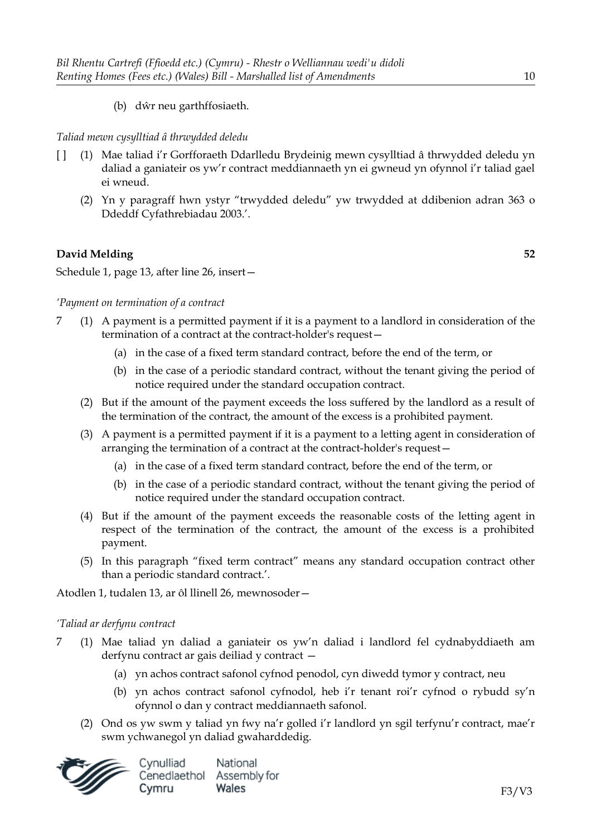(b) dŵr neu garthffosiaeth.

# *Taliad mewn cysylltiad â thrwydded deledu*

- [ ] (1) Mae taliad i'r Gorfforaeth Ddarlledu Brydeinig mewn cysylltiad â thrwydded deledu yn daliad a ganiateir os yw'r contract meddiannaeth yn ei gwneud yn ofynnol i'r taliad gael ei wneud.
	- (2) Yn y paragraff hwn ystyr "trwydded deledu" yw trwydded at ddibenion adran 363 o Ddeddf Cyfathrebiadau 2003.'.

# **David Melding 52**

Schedule 1, page 13, after line 26, insert—

# *'Payment on termination of a contract*

- 7 (1) A payment is a permitted payment if it is a payment to a landlord in consideration of the termination of a contract at the contract-holder's request—
	- (a) in the case of a fixed term standard contract, before the end of the term, or
	- (b) in the case of a periodic standard contract, without the tenant giving the period of notice required under the standard occupation contract.
	- (2) But if the amount of the payment exceeds the loss suffered by the landlord as a result of the termination of the contract, the amount of the excess is a prohibited payment.
	- (3) A payment is a permitted payment if it is a payment to a letting agent in consideration of arranging the termination of a contract at the contract-holder's request—
		- (a) in the case of a fixed term standard contract, before the end of the term, or
		- (b) in the case of a periodic standard contract, without the tenant giving the period of notice required under the standard occupation contract.
	- (4) But if the amount of the payment exceeds the reasonable costs of the letting agent in respect of the termination of the contract, the amount of the excess is a prohibited payment.
	- (5) In this paragraph "fixed term contract" means any standard occupation contract other than a periodic standard contract.'.

Atodlen 1, tudalen 13, ar ôl llinell 26, mewnosoder—

### *'Taliad ar derfynu contract*

- 7 (1) Mae taliad yn daliad a ganiateir os yw'n daliad i landlord fel cydnabyddiaeth am derfynu contract ar gais deiliad y contract —
	- (a) yn achos contract safonol cyfnod penodol, cyn diwedd tymor y contract, neu
	- (b) yn achos contract safonol cyfnodol, heb i'r tenant roi'r cyfnod o rybudd sy'n ofynnol o dan y contract meddiannaeth safonol.
	- (2) Ond os yw swm y taliad yn fwy na'r golled i'r landlord yn sgil terfynu'r contract, mae'r swm ychwanegol yn daliad gwaharddedig.

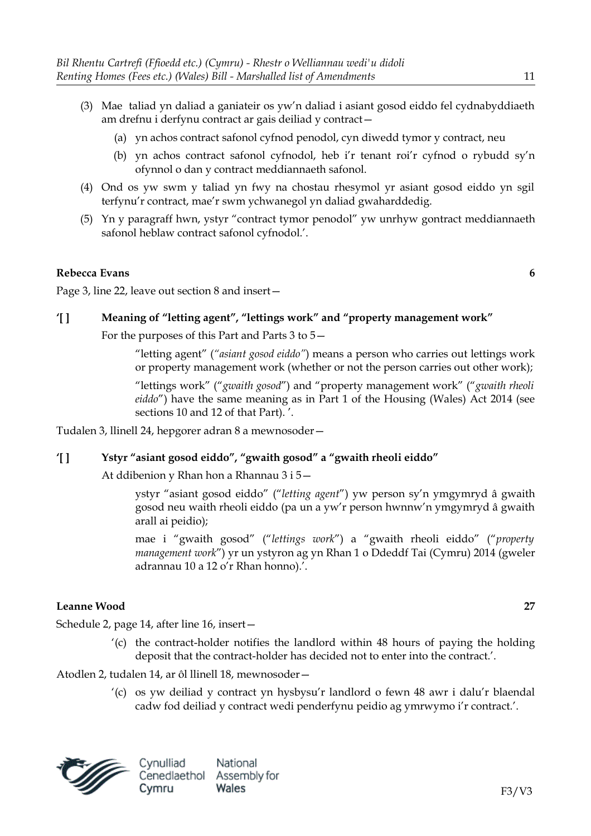- (3) Mae taliad yn daliad a ganiateir os yw'n daliad i asiant gosod eiddo fel cydnabyddiaeth am drefnu i derfynu contract ar gais deiliad y contract—
	- (a) yn achos contract safonol cyfnod penodol, cyn diwedd tymor y contract, neu
	- (b) yn achos contract safonol cyfnodol, heb i'r tenant roi'r cyfnod o rybudd sy'n ofynnol o dan y contract meddiannaeth safonol.
- (4) Ond os yw swm y taliad yn fwy na chostau rhesymol yr asiant gosod eiddo yn sgil terfynu'r contract, mae'r swm ychwanegol yn daliad gwaharddedig.
- (5) Yn y paragraff hwn, ystyr "contract tymor penodol" yw unrhyw gontract meddiannaeth safonol heblaw contract safonol cyfnodol.'.

#### **Rebecca Evans 6**

Page 3, line 22, leave out section 8 and insert—

#### **'[ ] Meaning of "letting agent", "lettings work" and "property management work"**

For the purposes of this Part and Parts 3 to 5—

"letting agent" (*"asiant gosod eiddo"*) means a person who carries out lettings work or property management work (whether or not the person carries out other work);

"lettings work" ("*gwaith gosod*") and "property management work" ("*gwaith rheoli eiddo*") have the same meaning as in Part 1 of the Housing (Wales) Act 2014 (see sections 10 and 12 of that Part). '.

Tudalen 3, llinell 24, hepgorer adran 8 a mewnosoder—

#### **'[ ] Ystyr "asiant gosod eiddo", "gwaith gosod" a "gwaith rheoli eiddo"**

At ddibenion y Rhan hon a Rhannau 3 i 5—

ystyr "asiant gosod eiddo" ("*letting agent*") yw person sy'n ymgymryd â gwaith gosod neu waith rheoli eiddo (pa un a yw'r person hwnnw'n ymgymryd â gwaith arall ai peidio);

mae i "gwaith gosod" ("*lettings work*") a "gwaith rheoli eiddo" ("*property management work*") yr un ystyron ag yn Rhan 1 o Ddeddf Tai (Cymru) 2014 (gweler adrannau 10 a 12 o'r Rhan honno).'.

#### **Leanne Wood 27**

Schedule 2, page 14, after line 16, insert—

'(c) the contract-holder notifies the landlord within 48 hours of paying the holding deposit that the contract-holder has decided not to enter into the contract.'.

Atodlen 2, tudalen 14, ar ôl llinell 18, mewnosoder—

'(c) os yw deiliad y contract yn hysbysu'r landlord o fewn 48 awr i dalu'r blaendal cadw fod deiliad y contract wedi penderfynu peidio ag ymrwymo i'r contract.'.

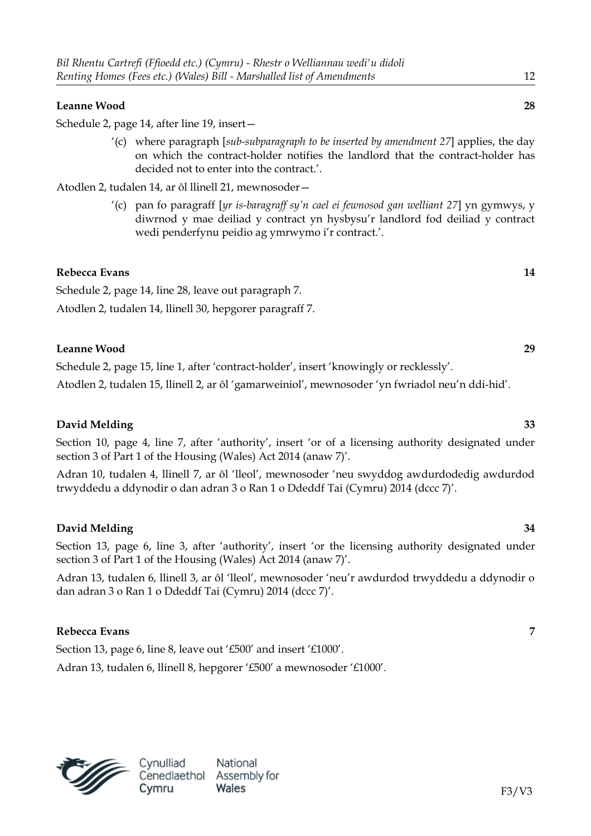#### **Leanne Wood 28**

Schedule 2, page 14, after line 19, insert—

'(c) where paragraph [*sub-subparagraph to be inserted by amendment 27*] applies, the day on which the contract-holder notifies the landlord that the contract-holder has decided not to enter into the contract.'.

Atodlen 2, tudalen 14, ar ôl llinell 21, mewnosoder—

'(c) pan fo paragraff [*yr is-baragraff sy'n cael ei fewnosod gan welliant 27*] yn gymwys, y diwrnod y mae deiliad y contract yn hysbysu'r landlord fod deiliad y contract wedi penderfynu peidio ag ymrwymo i'r contract.'.

#### **Rebecca Evans 14**

Schedule 2, page 14, line 28, leave out paragraph 7. Atodlen 2, tudalen 14, llinell 30, hepgorer paragraff 7.

#### **Leanne Wood 29**

Schedule 2, page 15, line 1, after 'contract-holder', insert 'knowingly or recklessly'.

Atodlen 2, tudalen 15, llinell 2, ar ôl 'gamarweiniol', mewnosoder 'yn fwriadol neu'n ddi-hid'.

### **David Melding 33**

Section 10, page 4, line 7, after 'authority', insert 'or of a licensing authority designated under section 3 of Part 1 of the Housing (Wales) Act 2014 (anaw 7)'.

Adran 10, tudalen 4, llinell 7, ar ôl 'lleol', mewnosoder 'neu swyddog awdurdodedig awdurdod trwyddedu a ddynodir o dan adran 3 o Ran 1 o Ddeddf Tai (Cymru) 2014 (dccc 7)'.

#### **David Melding 34**

Section 13, page 6, line 3, after 'authority', insert 'or the licensing authority designated under section 3 of Part 1 of the Housing (Wales) Act 2014 (anaw 7)'.

Adran 13, tudalen 6, llinell 3, ar ôl 'lleol', mewnosoder 'neu'r awdurdod trwyddedu a ddynodir o dan adran 3 o Ran 1 o Ddeddf Tai (Cymru) 2014 (dccc 7)'.

### **Rebecca Evans 7**

Section 13, page 6, line 8, leave out '£500' and insert '£1000'.

Adran 13, tudalen 6, llinell 8, hepgorer '£500' a mewnosoder '£1000'.



F3/V3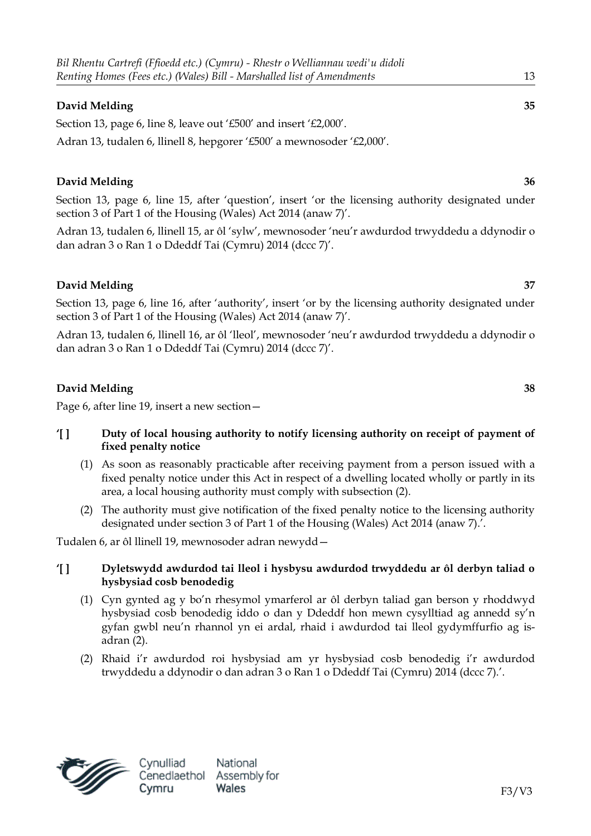Section 13, page 6, line 8, leave out '£500' and insert '£2,000'. Adran 13, tudalen 6, llinell 8, hepgorer '£500' a mewnosoder '£2,000'.

# **David Melding 36**

Section 13, page 6, line 15, after 'question', insert 'or the licensing authority designated under section 3 of Part 1 of the Housing (Wales) Act 2014 (anaw 7)'.

Adran 13, tudalen 6, llinell 15, ar ôl 'sylw', mewnosoder 'neu'r awdurdod trwyddedu a ddynodir o dan adran 3 o Ran 1 o Ddeddf Tai (Cymru) 2014 (dccc 7)'.

# **David Melding 37**

Section 13, page 6, line 16, after 'authority', insert 'or by the licensing authority designated under section 3 of Part 1 of the Housing (Wales) Act 2014 (anaw 7)'.

Adran 13, tudalen 6, llinell 16, ar ôl 'lleol', mewnosoder 'neu'r awdurdod trwyddedu a ddynodir o dan adran 3 o Ran 1 o Ddeddf Tai (Cymru) 2014 (dccc 7)'.

# **David Melding 38**

Page 6, after line 19, insert a new section—

# **'[ ] Duty of local housing authority to notify licensing authority on receipt of payment of fixed penalty notice**

- (1) As soon as reasonably practicable after receiving payment from a person issued with a fixed penalty notice under this Act in respect of a dwelling located wholly or partly in its area, a local housing authority must comply with subsection (2).
- (2) The authority must give notification of the fixed penalty notice to the licensing authority designated under section 3 of Part 1 of the Housing (Wales) Act 2014 (anaw 7).'.

Tudalen 6, ar ôl llinell 19, mewnosoder adran newydd—

# **'[ ] Dyletswydd awdurdod tai lleol i hysbysu awdurdod trwyddedu ar ôl derbyn taliad o hysbysiad cosb benodedig**

- (1) Cyn gynted ag y bo'n rhesymol ymarferol ar ôl derbyn taliad gan berson y rhoddwyd hysbysiad cosb benodedig iddo o dan y Ddeddf hon mewn cysylltiad ag annedd sy'n gyfan gwbl neu'n rhannol yn ei ardal, rhaid i awdurdod tai lleol gydymffurfio ag isadran (2).
- (2) Rhaid i'r awdurdod roi hysbysiad am yr hysbysiad cosb benodedig i'r awdurdod trwyddedu a ddynodir o dan adran 3 o Ran 1 o Ddeddf Tai (Cymru) 2014 (dccc 7).'.

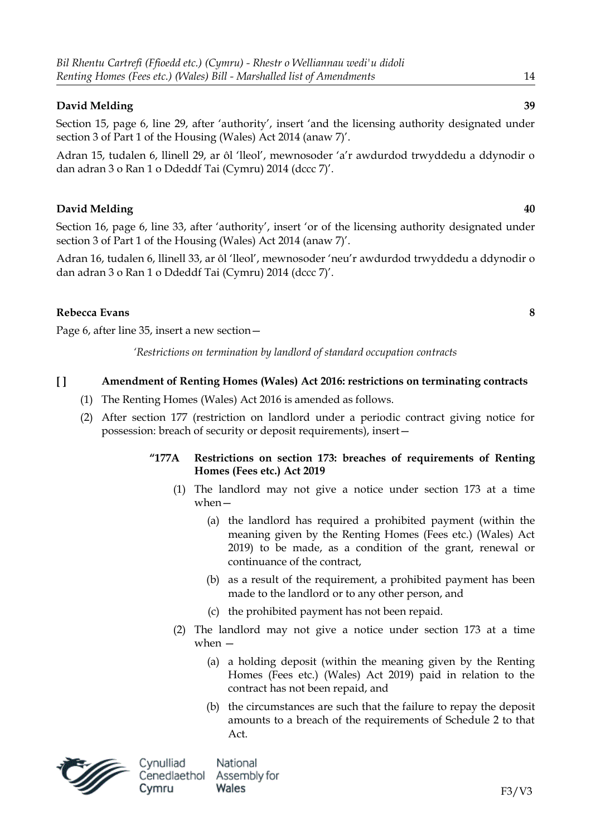Section 15, page 6, line 29, after 'authority', insert 'and the licensing authority designated under section 3 of Part 1 of the Housing (Wales) Act 2014 (anaw 7)'.

Adran 15, tudalen 6, llinell 29, ar ôl 'lleol', mewnosoder 'a'r awdurdod trwyddedu a ddynodir o dan adran 3 o Ran 1 o Ddeddf Tai (Cymru) 2014 (dccc 7)'.

# **David Melding 40**

Section 16, page 6, line 33, after 'authority', insert 'or of the licensing authority designated under section 3 of Part 1 of the Housing (Wales) Act 2014 (anaw 7)'.

Adran 16, tudalen 6, llinell 33, ar ôl 'lleol', mewnosoder 'neu'r awdurdod trwyddedu a ddynodir o dan adran 3 o Ran 1 o Ddeddf Tai (Cymru) 2014 (dccc 7)'.

# **Rebecca Evans 8**

Page 6, after line 35, insert a new section—

*'Restrictions on termination by landlord of standard occupation contracts*

# **[ ] Amendment of Renting Homes (Wales) Act 2016: restrictions on terminating contracts**

- (1) The Renting Homes (Wales) Act 2016 is amended as follows.
- (2) After section 177 (restriction on landlord under a periodic contract giving notice for possession: breach of security or deposit requirements), insert—

# **"177A Restrictions on section 173: breaches of requirements of Renting Homes (Fees etc.) Act 2019**

- (1) The landlord may not give a notice under section 173 at a time when—
	- (a) the landlord has required a prohibited payment (within the meaning given by the Renting Homes (Fees etc.) (Wales) Act 2019) to be made, as a condition of the grant, renewal or continuance of the contract,
	- (b) as a result of the requirement, a prohibited payment has been made to the landlord or to any other person, and
	- (c) the prohibited payment has not been repaid.
- (2) The landlord may not give a notice under section 173 at a time when —
	- (a) a holding deposit (within the meaning given by the Renting Homes (Fees etc.) (Wales) Act 2019) paid in relation to the contract has not been repaid, and
	- (b) the circumstances are such that the failure to repay the deposit amounts to a breach of the requirements of Schedule 2 to that Act.

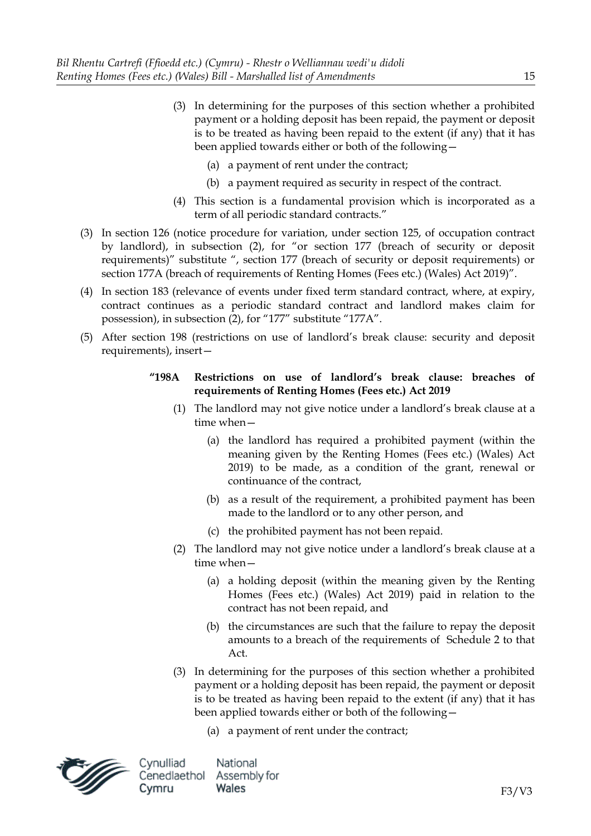- (3) In determining for the purposes of this section whether a prohibited payment or a holding deposit has been repaid, the payment or deposit is to be treated as having been repaid to the extent (if any) that it has been applied towards either or both of the following—
	- (a) a payment of rent under the contract;
	- (b) a payment required as security in respect of the contract.
- (4) This section is a fundamental provision which is incorporated as a term of all periodic standard contracts."
- (3) In section 126 (notice procedure for variation, under section 125, of occupation contract by landlord), in subsection (2), for "or section 177 (breach of security or deposit requirements)" substitute ", section 177 (breach of security or deposit requirements) or section 177A (breach of requirements of Renting Homes (Fees etc.) (Wales) Act 2019)".
- (4) In section 183 (relevance of events under fixed term standard contract, where, at expiry, contract continues as a periodic standard contract and landlord makes claim for possession), in subsection (2), for "177" substitute "177A".
- (5) After section 198 (restrictions on use of landlord's break clause: security and deposit requirements), insert—

# **"198A Restrictions on use of landlord's break clause: breaches of requirements of Renting Homes (Fees etc.) Act 2019**

- (1) The landlord may not give notice under a landlord's break clause at a time when—
	- (a) the landlord has required a prohibited payment (within the meaning given by the Renting Homes (Fees etc.) (Wales) Act 2019) to be made, as a condition of the grant, renewal or continuance of the contract,
	- (b) as a result of the requirement, a prohibited payment has been made to the landlord or to any other person, and
	- (c) the prohibited payment has not been repaid.
- (2) The landlord may not give notice under a landlord's break clause at a time when—
	- (a) a holding deposit (within the meaning given by the Renting Homes (Fees etc.) (Wales) Act 2019) paid in relation to the contract has not been repaid, and
	- (b) the circumstances are such that the failure to repay the deposit amounts to a breach of the requirements of Schedule 2 to that Act.
- (3) In determining for the purposes of this section whether a prohibited payment or a holding deposit has been repaid, the payment or deposit is to be treated as having been repaid to the extent (if any) that it has been applied towards either or both of the following—
	- (a) a payment of rent under the contract;

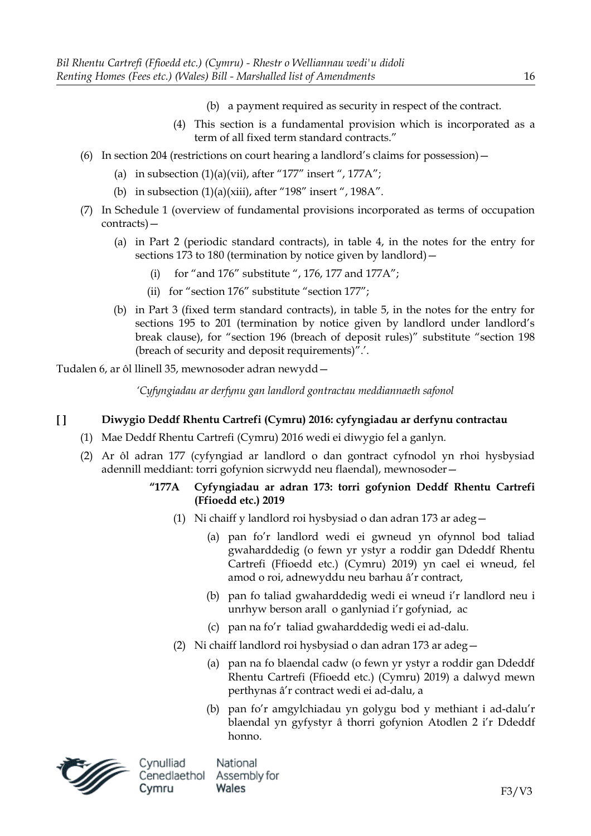- (b) a payment required as security in respect of the contract.
- (4) This section is a fundamental provision which is incorporated as a term of all fixed term standard contracts."
- (6) In section 204 (restrictions on court hearing a landlord's claims for possession)—
	- (a) in subsection  $(1)(a)(vii)$ , after "177" insert ", 177A";
	- (b) in subsection  $(1)(a)(xiii)$ , after "198" insert ", 198A".
- (7) In Schedule 1 (overview of fundamental provisions incorporated as terms of occupation contracts)—
	- (a) in Part 2 (periodic standard contracts), in table 4, in the notes for the entry for sections 173 to 180 (termination by notice given by landlord)
		- for "and 176" substitute ", 176, 177 and 177A";
		- (ii) for "section 176" substitute "section 177";
	- (b) in Part 3 (fixed term standard contracts), in table 5, in the notes for the entry for sections 195 to 201 (termination by notice given by landlord under landlord's break clause), for "section 196 (breach of deposit rules)" substitute "section 198 (breach of security and deposit requirements)".'.

Tudalen 6, ar ôl llinell 35, mewnosoder adran newydd—

*'Cyfyngiadau ar derfynu gan landlord gontractau meddiannaeth safonol*

# **[ ] Diwygio Deddf Rhentu Cartrefi (Cymru) 2016: cyfyngiadau ar derfynu contractau**

- (1) Mae Deddf Rhentu Cartrefi (Cymru) 2016 wedi ei diwygio fel a ganlyn.
- (2) Ar ôl adran 177 (cyfyngiad ar landlord o dan gontract cyfnodol yn rhoi hysbysiad adennill meddiant: torri gofynion sicrwydd neu flaendal), mewnosoder—

### **"177A Cyfyngiadau ar adran 173: torri gofynion Deddf Rhentu Cartrefi (Ffioedd etc.) 2019**

- (1) Ni chaiff y landlord roi hysbysiad o dan adran 173 ar adeg—
	- (a) pan fo'r landlord wedi ei gwneud yn ofynnol bod taliad gwaharddedig (o fewn yr ystyr a roddir gan Ddeddf Rhentu Cartrefi (Ffioedd etc.) (Cymru) 2019) yn cael ei wneud, fel amod o roi, adnewyddu neu barhau â'r contract,
	- (b) pan fo taliad gwaharddedig wedi ei wneud i'r landlord neu i unrhyw berson arall o ganlyniad i'r gofyniad, ac
	- (c) pan na fo'r taliad gwaharddedig wedi ei ad-dalu.
- (2) Ni chaiff landlord roi hysbysiad o dan adran 173 ar adeg—
	- (a) pan na fo blaendal cadw (o fewn yr ystyr a roddir gan Ddeddf Rhentu Cartrefi (Ffioedd etc.) (Cymru) 2019) a dalwyd mewn perthynas â'r contract wedi ei ad-dalu, a
	- (b) pan fo'r amgylchiadau yn golygu bod y methiant i ad-dalu'r blaendal yn gyfystyr â thorri gofynion Atodlen 2 i'r Ddeddf honno.

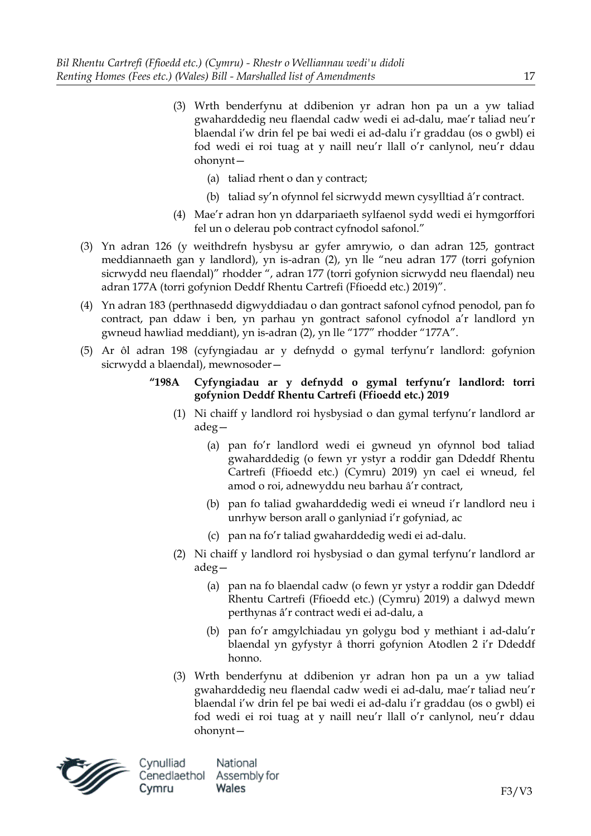- (3) Wrth benderfynu at ddibenion yr adran hon pa un a yw taliad gwaharddedig neu flaendal cadw wedi ei ad-dalu, mae'r taliad neu'r blaendal i'w drin fel pe bai wedi ei ad-dalu i'r graddau (os o gwbl) ei fod wedi ei roi tuag at y naill neu'r llall o'r canlynol, neu'r ddau ohonynt—
	- (a) taliad rhent o dan y contract;
	- (b) taliad sy'n ofynnol fel sicrwydd mewn cysylltiad â'r contract.
- (4) Mae'r adran hon yn ddarpariaeth sylfaenol sydd wedi ei hymgorffori fel un o delerau pob contract cyfnodol safonol."
- (3) Yn adran 126 (y weithdrefn hysbysu ar gyfer amrywio, o dan adran 125, gontract meddiannaeth gan y landlord), yn is-adran (2), yn lle "neu adran 177 (torri gofynion sicrwydd neu flaendal)" rhodder ", adran 177 (torri gofynion sicrwydd neu flaendal) neu adran 177A (torri gofynion Deddf Rhentu Cartrefi (Ffioedd etc.) 2019)".
- (4) Yn adran 183 (perthnasedd digwyddiadau o dan gontract safonol cyfnod penodol, pan fo contract, pan ddaw i ben, yn parhau yn gontract safonol cyfnodol a'r landlord yn gwneud hawliad meddiant), yn is-adran (2), yn lle "177" rhodder "177A".
- (5) Ar ôl adran 198 (cyfyngiadau ar y defnydd o gymal terfynu'r landlord: gofynion sicrwydd a blaendal), mewnosoder—
	- **"198A Cyfyngiadau ar y defnydd o gymal terfynu'r landlord: torri gofynion Deddf Rhentu Cartrefi (Ffioedd etc.) 2019**
		- (1) Ni chaiff y landlord roi hysbysiad o dan gymal terfynu'r landlord ar adeg—
			- (a) pan fo'r landlord wedi ei gwneud yn ofynnol bod taliad gwaharddedig (o fewn yr ystyr a roddir gan Ddeddf Rhentu Cartrefi (Ffioedd etc.) (Cymru) 2019) yn cael ei wneud, fel amod o roi, adnewyddu neu barhau â'r contract,
			- (b) pan fo taliad gwaharddedig wedi ei wneud i'r landlord neu i unrhyw berson arall o ganlyniad i'r gofyniad, ac
			- (c) pan na fo'r taliad gwaharddedig wedi ei ad-dalu.
		- (2) Ni chaiff y landlord roi hysbysiad o dan gymal terfynu'r landlord ar adeg—
			- (a) pan na fo blaendal cadw (o fewn yr ystyr a roddir gan Ddeddf Rhentu Cartrefi (Ffioedd etc.) (Cymru) 2019) a dalwyd mewn perthynas â'r contract wedi ei ad-dalu, a
			- (b) pan fo'r amgylchiadau yn golygu bod y methiant i ad-dalu'r blaendal yn gyfystyr â thorri gofynion Atodlen 2 i'r Ddeddf honno.
		- (3) Wrth benderfynu at ddibenion yr adran hon pa un a yw taliad gwaharddedig neu flaendal cadw wedi ei ad-dalu, mae'r taliad neu'r blaendal i'w drin fel pe bai wedi ei ad-dalu i'r graddau (os o gwbl) ei fod wedi ei roi tuag at y naill neu'r llall o'r canlynol, neu'r ddau ohonynt—



Cynulliad National Cenedlaethol Assembly for Cymru Wales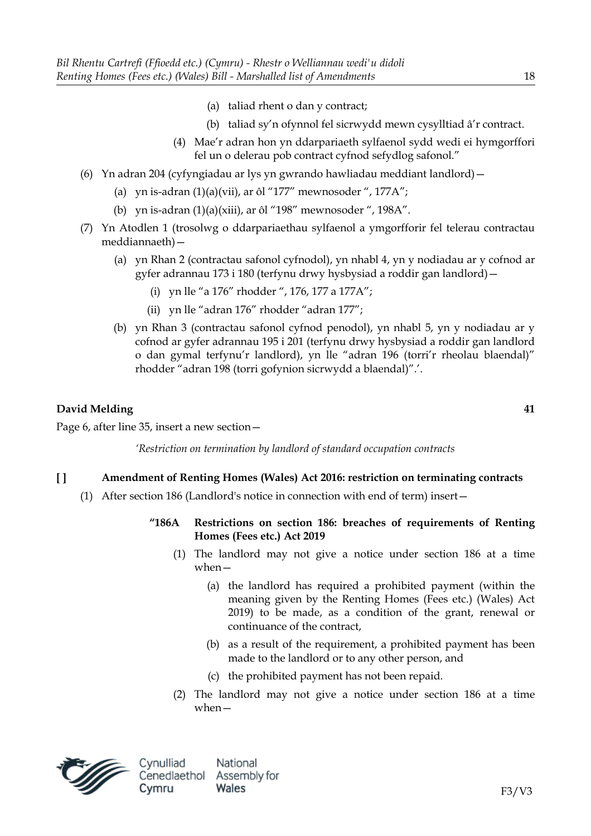- (a) taliad rhent o dan y contract;
- (b) taliad sy'n ofynnol fel sicrwydd mewn cysylltiad â'r contract.
- (4) Mae'r adran hon yn ddarpariaeth sylfaenol sydd wedi ei hymgorffori fel un o delerau pob contract cyfnod sefydlog safonol."
- (6) Yn adran 204 (cyfyngiadau ar lys yn gwrando hawliadau meddiant landlord)—
	- (a) yn is-adran  $(1)(a)(vii)$ , ar ôl "177" mewnosoder ", 177A";
	- (b) yn is-adran (1)(a)(xiii), ar ôl "198" mewnosoder ", 198A".
- (7) Yn Atodlen 1 (trosolwg o ddarpariaethau sylfaenol a ymgorfforir fel telerau contractau meddiannaeth)—
	- (a) yn Rhan 2 (contractau safonol cyfnodol), yn nhabl 4, yn y nodiadau ar y cofnod ar gyfer adrannau 173 i 180 (terfynu drwy hysbysiad a roddir gan landlord)—
		- (i) yn lle "a 176" rhodder ", 176, 177 a 177A";
		- (ii) yn lle "adran 176" rhodder "adran 177";
	- (b) yn Rhan 3 (contractau safonol cyfnod penodol), yn nhabl 5, yn y nodiadau ar y cofnod ar gyfer adrannau 195 i 201 (terfynu drwy hysbysiad a roddir gan landlord o dan gymal terfynu'r landlord), yn lle "adran 196 (torri'r rheolau blaendal)" rhodder "adran 198 (torri gofynion sicrwydd a blaendal)".'.

Page 6, after line 35, insert a new section—

*'Restriction on termination by landlord of standard occupation contracts*

#### **[ ] Amendment of Renting Homes (Wales) Act 2016: restriction on terminating contracts**

- (1) After section 186 (Landlord's notice in connection with end of term) insert—
	- **"186A Restrictions on section 186: breaches of requirements of Renting Homes (Fees etc.) Act 2019**
		- (1) The landlord may not give a notice under section 186 at a time when—
			- (a) the landlord has required a prohibited payment (within the meaning given by the Renting Homes (Fees etc.) (Wales) Act 2019) to be made, as a condition of the grant, renewal or continuance of the contract,
			- (b) as a result of the requirement, a prohibited payment has been made to the landlord or to any other person, and
			- (c) the prohibited payment has not been repaid.
		- (2) The landlord may not give a notice under section 186 at a time when—



Cynulliad National Cenedlaethol Assembly for Cymru Wales

F3/V3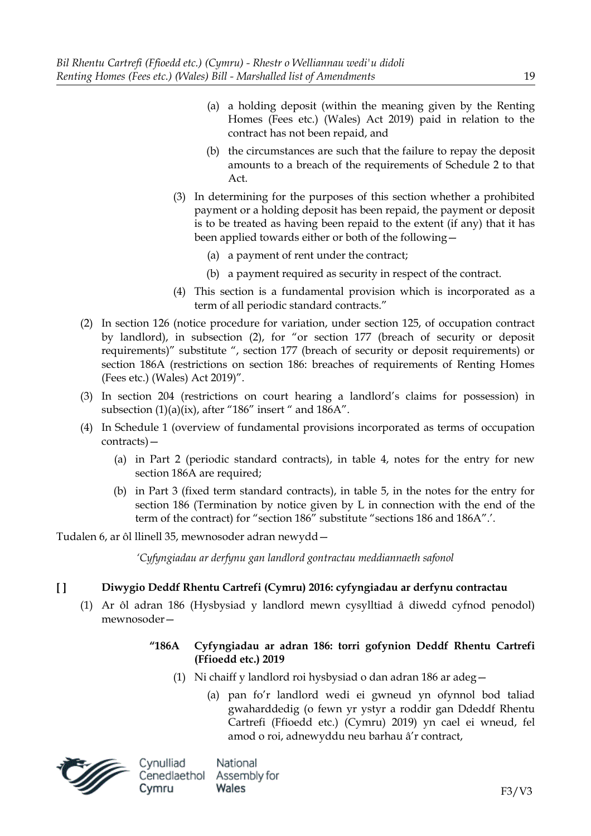- (a) a holding deposit (within the meaning given by the Renting Homes (Fees etc.) (Wales) Act 2019) paid in relation to the contract has not been repaid, and
- (b) the circumstances are such that the failure to repay the deposit amounts to a breach of the requirements of Schedule 2 to that Act.
- (3) In determining for the purposes of this section whether a prohibited payment or a holding deposit has been repaid, the payment or deposit is to be treated as having been repaid to the extent (if any) that it has been applied towards either or both of the following—
	- (a) a payment of rent under the contract;
	- (b) a payment required as security in respect of the contract.
- (4) This section is a fundamental provision which is incorporated as a term of all periodic standard contracts."
- (2) In section 126 (notice procedure for variation, under section 125, of occupation contract by landlord), in subsection (2), for "or section 177 (breach of security or deposit requirements)" substitute ", section 177 (breach of security or deposit requirements) or section 186A (restrictions on section 186: breaches of requirements of Renting Homes (Fees etc.) (Wales) Act 2019)".
- (3) In section 204 (restrictions on court hearing a landlord's claims for possession) in subsection (1)(a)(ix), after "186" insert " and 186A".
- (4) In Schedule 1 (overview of fundamental provisions incorporated as terms of occupation contracts)—
	- (a) in Part 2 (periodic standard contracts), in table 4, notes for the entry for new section 186A are required:
	- (b) in Part 3 (fixed term standard contracts), in table 5, in the notes for the entry for section 186 (Termination by notice given by L in connection with the end of the term of the contract) for "section 186" substitute "sections 186 and 186A".'.

Tudalen 6, ar ôl llinell 35, mewnosoder adran newydd—

*'Cyfyngiadau ar derfynu gan landlord gontractau meddiannaeth safonol*

# **[ ] Diwygio Deddf Rhentu Cartrefi (Cymru) 2016: cyfyngiadau ar derfynu contractau**

(1) Ar ôl adran 186 (Hysbysiad y landlord mewn cysylltiad â diwedd cyfnod penodol) mewnosoder—

# **"186A Cyfyngiadau ar adran 186: torri gofynion Deddf Rhentu Cartrefi (Ffioedd etc.) 2019**

- (1) Ni chaiff y landlord roi hysbysiad o dan adran 186 ar adeg—
	- (a) pan fo'r landlord wedi ei gwneud yn ofynnol bod taliad gwaharddedig (o fewn yr ystyr a roddir gan Ddeddf Rhentu Cartrefi (Ffioedd etc.) (Cymru) 2019) yn cael ei wneud, fel amod o roi, adnewyddu neu barhau â'r contract,

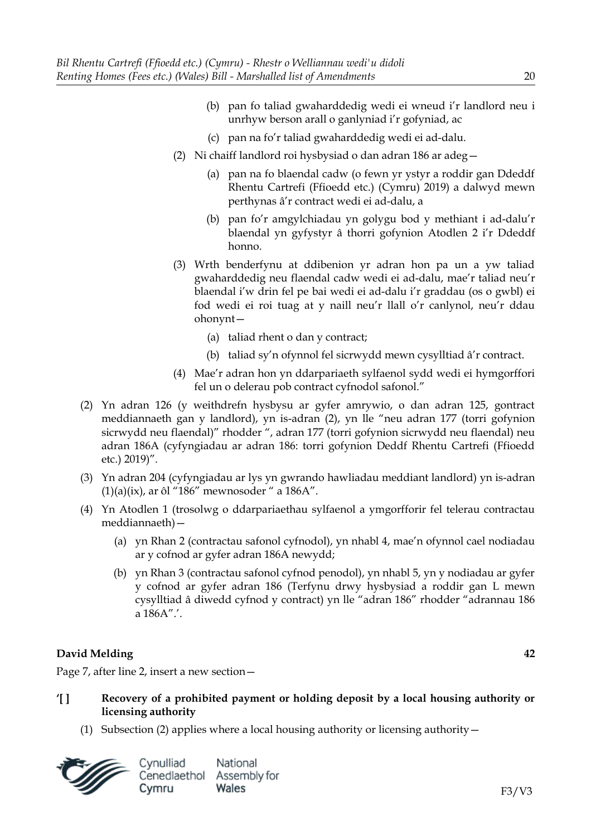- (b) pan fo taliad gwaharddedig wedi ei wneud i'r landlord neu i unrhyw berson arall o ganlyniad i'r gofyniad, ac
- (c) pan na fo'r taliad gwaharddedig wedi ei ad-dalu.
- (2) Ni chaiff landlord roi hysbysiad o dan adran 186 ar adeg—
	- (a) pan na fo blaendal cadw (o fewn yr ystyr a roddir gan Ddeddf Rhentu Cartrefi (Ffioedd etc.) (Cymru) 2019) a dalwyd mewn perthynas â'r contract wedi ei ad-dalu, a
	- (b) pan fo'r amgylchiadau yn golygu bod y methiant i ad-dalu'r blaendal yn gyfystyr â thorri gofynion Atodlen 2 i'r Ddeddf honno.
- (3) Wrth benderfynu at ddibenion yr adran hon pa un a yw taliad gwaharddedig neu flaendal cadw wedi ei ad-dalu, mae'r taliad neu'r blaendal i'w drin fel pe bai wedi ei ad-dalu i'r graddau (os o gwbl) ei fod wedi ei roi tuag at y naill neu'r llall o'r canlynol, neu'r ddau ohonynt—
	- (a) taliad rhent o dan y contract;
	- (b) taliad sy'n ofynnol fel sicrwydd mewn cysylltiad â'r contract.
- (4) Mae'r adran hon yn ddarpariaeth sylfaenol sydd wedi ei hymgorffori fel un o delerau pob contract cyfnodol safonol."
- (2) Yn adran 126 (y weithdrefn hysbysu ar gyfer amrywio, o dan adran 125, gontract meddiannaeth gan y landlord), yn is-adran (2), yn lle "neu adran 177 (torri gofynion sicrwydd neu flaendal)" rhodder ", adran 177 (torri gofynion sicrwydd neu flaendal) neu adran 186A (cyfyngiadau ar adran 186: torri gofynion Deddf Rhentu Cartrefi (Ffioedd etc.) 2019)".
- (3) Yn adran 204 (cyfyngiadau ar lys yn gwrando hawliadau meddiant landlord) yn is-adran  $(1)(a)(ix)$ , ar ôl "186" mewnosoder " a 186A".
- (4) Yn Atodlen 1 (trosolwg o ddarpariaethau sylfaenol a ymgorfforir fel telerau contractau meddiannaeth)—
	- (a) yn Rhan 2 (contractau safonol cyfnodol), yn nhabl 4, mae'n ofynnol cael nodiadau ar y cofnod ar gyfer adran 186A newydd;
	- (b) yn Rhan 3 (contractau safonol cyfnod penodol), yn nhabl 5, yn y nodiadau ar gyfer y cofnod ar gyfer adran 186 (Terfynu drwy hysbysiad a roddir gan L mewn cysylltiad â diwedd cyfnod y contract) yn lle "adran 186" rhodder "adrannau 186 a 186A".'.

Page 7, after line 2, insert a new section—

- **'[ ] Recovery of a prohibited payment or holding deposit by a local housing authority or licensing authority**
	- (1) Subsection (2) applies where a local housing authority or licensing authority  $-$

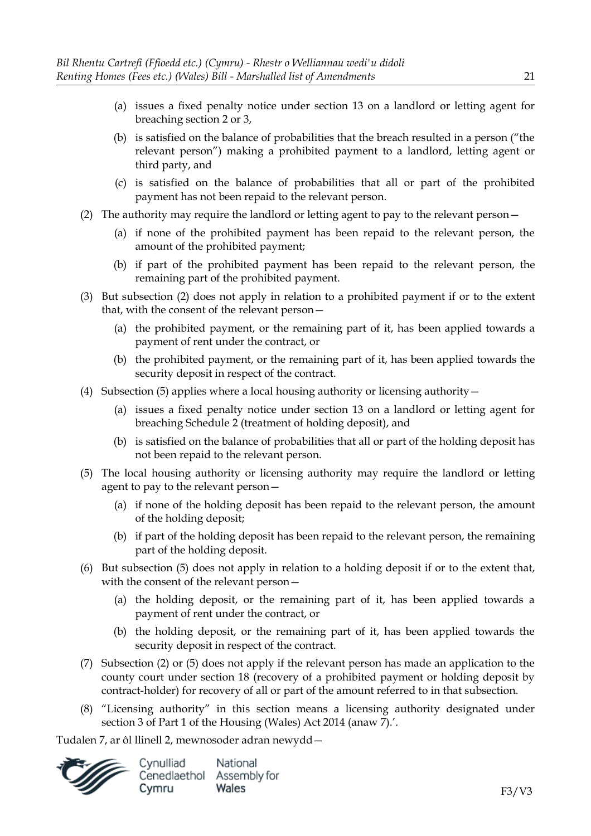- (a) issues a fixed penalty notice under section 13 on a landlord or letting agent for breaching section 2 or 3,
- (b) is satisfied on the balance of probabilities that the breach resulted in a person ("the relevant person") making a prohibited payment to a landlord, letting agent or third party, and
- (c) is satisfied on the balance of probabilities that all or part of the prohibited payment has not been repaid to the relevant person.
- (2) The authority may require the landlord or letting agent to pay to the relevant person—
	- (a) if none of the prohibited payment has been repaid to the relevant person, the amount of the prohibited payment;
	- (b) if part of the prohibited payment has been repaid to the relevant person, the remaining part of the prohibited payment.
- (3) But subsection (2) does not apply in relation to a prohibited payment if or to the extent that, with the consent of the relevant person—
	- (a) the prohibited payment, or the remaining part of it, has been applied towards a payment of rent under the contract, or
	- (b) the prohibited payment, or the remaining part of it, has been applied towards the security deposit in respect of the contract.
- (4) Subsection (5) applies where a local housing authority or licensing authority—
	- (a) issues a fixed penalty notice under section 13 on a landlord or letting agent for breaching Schedule 2 (treatment of holding deposit), and
	- (b) is satisfied on the balance of probabilities that all or part of the holding deposit has not been repaid to the relevant person.
- (5) The local housing authority or licensing authority may require the landlord or letting agent to pay to the relevant person—
	- (a) if none of the holding deposit has been repaid to the relevant person, the amount of the holding deposit;
	- (b) if part of the holding deposit has been repaid to the relevant person, the remaining part of the holding deposit.
- (6) But subsection (5) does not apply in relation to a holding deposit if or to the extent that, with the consent of the relevant person—
	- (a) the holding deposit, or the remaining part of it, has been applied towards a payment of rent under the contract, or
	- (b) the holding deposit, or the remaining part of it, has been applied towards the security deposit in respect of the contract.
- (7) Subsection (2) or (5) does not apply if the relevant person has made an application to the county court under section 18 (recovery of a prohibited payment or holding deposit by contract-holder) for recovery of all or part of the amount referred to in that subsection.
- (8) "Licensing authority" in this section means a licensing authority designated under section 3 of Part 1 of the Housing (Wales) Act 2014 (anaw 7).'.

Tudalen 7, ar ôl llinell 2, mewnosoder adran newydd—

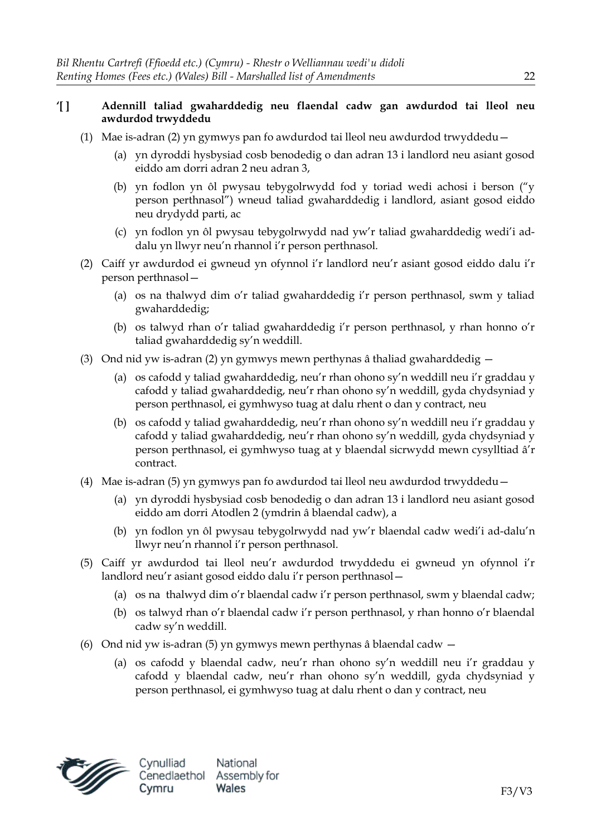# **'[ ] Adennill taliad gwaharddedig neu flaendal cadw gan awdurdod tai lleol neu awdurdod trwyddedu**

- (1) Mae is-adran (2) yn gymwys pan fo awdurdod tai lleol neu awdurdod trwyddedu—
	- (a) yn dyroddi hysbysiad cosb benodedig o dan adran 13 i landlord neu asiant gosod eiddo am dorri adran 2 neu adran 3,
	- (b) yn fodlon yn ôl pwysau tebygolrwydd fod y toriad wedi achosi i berson ("y person perthnasol") wneud taliad gwaharddedig i landlord, asiant gosod eiddo neu drydydd parti, ac
	- (c) yn fodlon yn ôl pwysau tebygolrwydd nad yw'r taliad gwaharddedig wedi'i addalu yn llwyr neu'n rhannol i'r person perthnasol.
- (2) Caiff yr awdurdod ei gwneud yn ofynnol i'r landlord neu'r asiant gosod eiddo dalu i'r person perthnasol—
	- (a) os na thalwyd dim o'r taliad gwaharddedig i'r person perthnasol, swm y taliad gwaharddedig;
	- (b) os talwyd rhan o'r taliad gwaharddedig i'r person perthnasol, y rhan honno o'r taliad gwaharddedig sy'n weddill.
- (3) Ond nid yw is-adran (2) yn gymwys mewn perthynas â thaliad gwaharddedig
	- (a) os cafodd y taliad gwaharddedig, neu'r rhan ohono sy'n weddill neu i'r graddau y cafodd y taliad gwaharddedig, neu'r rhan ohono sy'n weddill, gyda chydsyniad y person perthnasol, ei gymhwyso tuag at dalu rhent o dan y contract, neu
	- (b) os cafodd y taliad gwaharddedig, neu'r rhan ohono sy'n weddill neu i'r graddau y cafodd y taliad gwaharddedig, neu'r rhan ohono sy'n weddill, gyda chydsyniad y person perthnasol, ei gymhwyso tuag at y blaendal sicrwydd mewn cysylltiad â'r contract.
- (4) Mae is-adran (5) yn gymwys pan fo awdurdod tai lleol neu awdurdod trwyddedu—
	- (a) yn dyroddi hysbysiad cosb benodedig o dan adran 13 i landlord neu asiant gosod eiddo am dorri Atodlen 2 (ymdrin â blaendal cadw), a
	- (b) yn fodlon yn ôl pwysau tebygolrwydd nad yw'r blaendal cadw wedi'i ad-dalu'n llwyr neu'n rhannol i'r person perthnasol.
- (5) Caiff yr awdurdod tai lleol neu'r awdurdod trwyddedu ei gwneud yn ofynnol i'r landlord neu'r asiant gosod eiddo dalu i'r person perthnasol—
	- (a) os na thalwyd dim o'r blaendal cadw i'r person perthnasol, swm y blaendal cadw;
	- (b) os talwyd rhan o'r blaendal cadw i'r person perthnasol, y rhan honno o'r blaendal cadw sy'n weddill.
- (6) Ond nid yw is-adran (5) yn gymwys mewn perthynas â blaendal cadw
	- (a) os cafodd y blaendal cadw, neu'r rhan ohono sy'n weddill neu i'r graddau y cafodd y blaendal cadw, neu'r rhan ohono sy'n weddill, gyda chydsyniad y person perthnasol, ei gymhwyso tuag at dalu rhent o dan y contract, neu

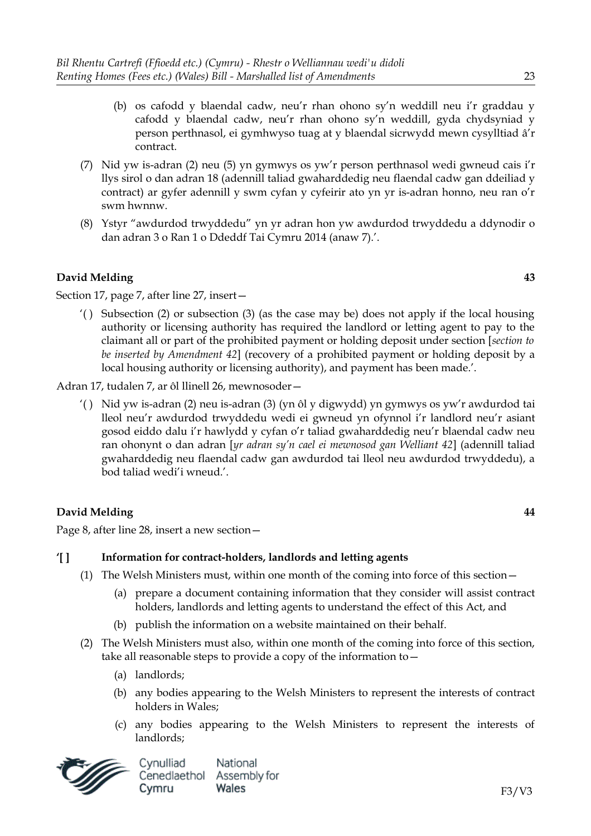- (b) os cafodd y blaendal cadw, neu'r rhan ohono sy'n weddill neu i'r graddau y cafodd y blaendal cadw, neu'r rhan ohono sy'n weddill, gyda chydsyniad y person perthnasol, ei gymhwyso tuag at y blaendal sicrwydd mewn cysylltiad â'r contract.
- (7) Nid yw is-adran (2) neu (5) yn gymwys os yw'r person perthnasol wedi gwneud cais i'r llys sirol o dan adran 18 (adennill taliad gwaharddedig neu flaendal cadw gan ddeiliad y contract) ar gyfer adennill y swm cyfan y cyfeirir ato yn yr is-adran honno, neu ran o'r swm hwnnw.
- (8) Ystyr "awdurdod trwyddedu" yn yr adran hon yw awdurdod trwyddedu a ddynodir o dan adran 3 o Ran 1 o Ddeddf Tai Cymru 2014 (anaw 7).'.

Section 17, page 7, after line 27, insert—

'() Subsection (2) or subsection (3) (as the case may be) does not apply if the local housing authority or licensing authority has required the landlord or letting agent to pay to the claimant all or part of the prohibited payment or holding deposit under section [*section to be inserted by Amendment 42*] (recovery of a prohibited payment or holding deposit by a local housing authority or licensing authority), and payment has been made.'.

Adran 17, tudalen 7, ar ôl llinell 26, mewnosoder—

'( ) Nid yw is-adran (2) neu is-adran (3) (yn ôl y digwydd) yn gymwys os yw'r awdurdod tai lleol neu'r awdurdod trwyddedu wedi ei gwneud yn ofynnol i'r landlord neu'r asiant gosod eiddo dalu i'r hawlydd y cyfan o'r taliad gwaharddedig neu'r blaendal cadw neu ran ohonynt o dan adran [*yr adran sy'n cael ei mewnosod gan Welliant 42*] (adennill taliad gwaharddedig neu flaendal cadw gan awdurdod tai lleol neu awdurdod trwyddedu), a bod taliad wedi'i wneud.'.

# **David Melding 44**

Page 8, after line 28, insert a new section—

### **'[ ] Information for contract-holders, landlords and letting agents**

- (1) The Welsh Ministers must, within one month of the coming into force of this section—
	- (a) prepare a document containing information that they consider will assist contract holders, landlords and letting agents to understand the effect of this Act, and
	- (b) publish the information on a website maintained on their behalf.
- (2) The Welsh Ministers must also, within one month of the coming into force of this section, take all reasonable steps to provide a copy of the information to—
	- (a) landlords;
	- (b) any bodies appearing to the Welsh Ministers to represent the interests of contract holders in Wales;
	- (c) any bodies appearing to the Welsh Ministers to represent the interests of landlords;

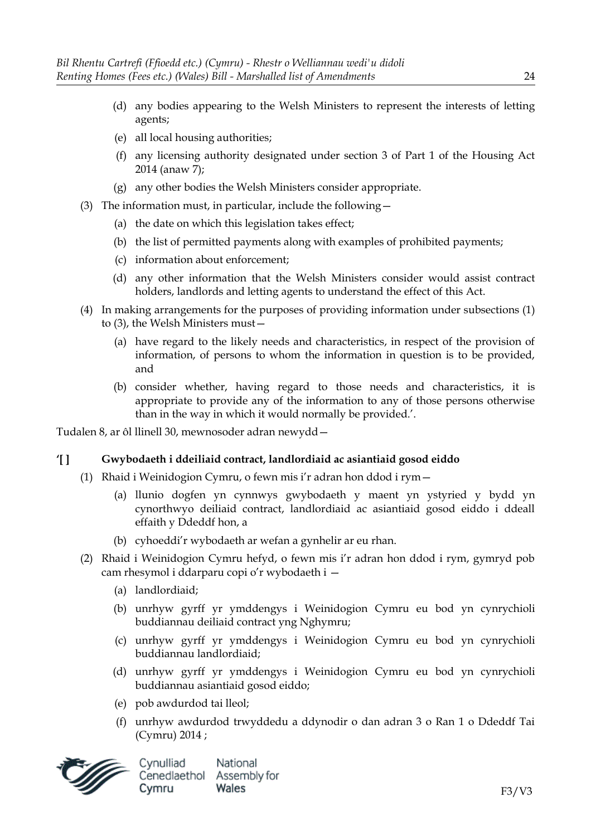- (d) any bodies appearing to the Welsh Ministers to represent the interests of letting agents;
- (e) all local housing authorities;
- (f) any licensing authority designated under section 3 of Part 1 of the Housing Act 2014 (anaw 7);
- (g) any other bodies the Welsh Ministers consider appropriate.
- (3) The information must, in particular, include the following—
	- (a) the date on which this legislation takes effect;
	- (b) the list of permitted payments along with examples of prohibited payments;
	- (c) information about enforcement;
	- (d) any other information that the Welsh Ministers consider would assist contract holders, landlords and letting agents to understand the effect of this Act.
- (4) In making arrangements for the purposes of providing information under subsections (1) to (3), the Welsh Ministers must—
	- (a) have regard to the likely needs and characteristics, in respect of the provision of information, of persons to whom the information in question is to be provided, and
	- (b) consider whether, having regard to those needs and characteristics, it is appropriate to provide any of the information to any of those persons otherwise than in the way in which it would normally be provided.'.

Tudalen 8, ar ôl llinell 30, mewnosoder adran newydd—

# **'[ ] Gwybodaeth i ddeiliaid contract, landlordiaid ac asiantiaid gosod eiddo**

- (1) Rhaid i Weinidogion Cymru, o fewn mis i'r adran hon ddod i rym—
	- (a) llunio dogfen yn cynnwys gwybodaeth y maent yn ystyried y bydd yn cynorthwyo deiliaid contract, landlordiaid ac asiantiaid gosod eiddo i ddeall effaith y Ddeddf hon, a
	- (b) cyhoeddi'r wybodaeth ar wefan a gynhelir ar eu rhan.
- (2) Rhaid i Weinidogion Cymru hefyd, o fewn mis i'r adran hon ddod i rym, gymryd pob cam rhesymol i ddarparu copi o'r wybodaeth i —
	- (a) landlordiaid;
	- (b) unrhyw gyrff yr ymddengys i Weinidogion Cymru eu bod yn cynrychioli buddiannau deiliaid contract yng Nghymru;
	- (c) unrhyw gyrff yr ymddengys i Weinidogion Cymru eu bod yn cynrychioli buddiannau landlordiaid;
	- (d) unrhyw gyrff yr ymddengys i Weinidogion Cymru eu bod yn cynrychioli buddiannau asiantiaid gosod eiddo;
	- (e) pob awdurdod tai lleol;
	- (f) unrhyw awdurdod trwyddedu a ddynodir o dan adran 3 o Ran 1 o Ddeddf Tai (Cymru) 2014 ;

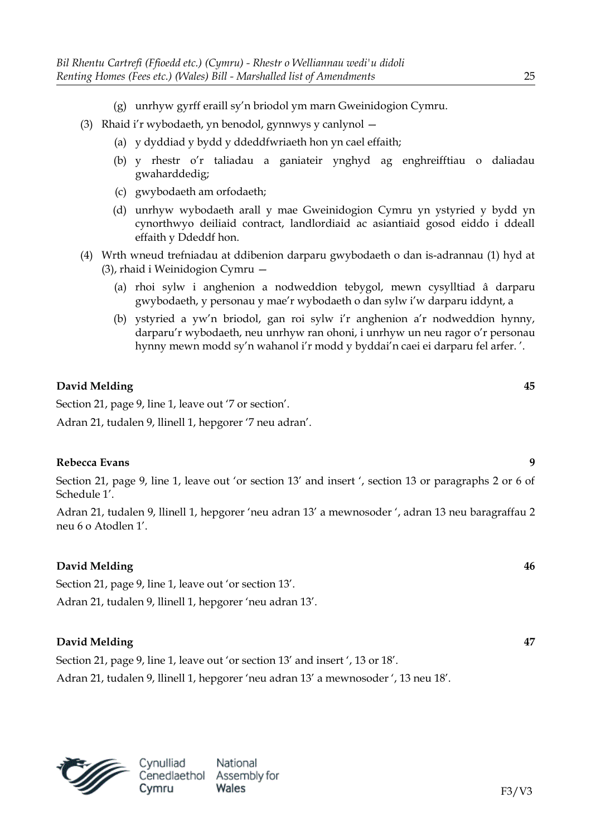- (g) unrhyw gyrff eraill sy'n briodol ym marn Gweinidogion Cymru.
- (3) Rhaid i'r wybodaeth, yn benodol, gynnwys y canlynol
	- (a) y dyddiad y bydd y ddeddfwriaeth hon yn cael effaith;
	- (b) y rhestr o'r taliadau a ganiateir ynghyd ag enghreifftiau o daliadau gwaharddedig;
	- (c) gwybodaeth am orfodaeth;
	- (d) unrhyw wybodaeth arall y mae Gweinidogion Cymru yn ystyried y bydd yn cynorthwyo deiliaid contract, landlordiaid ac asiantiaid gosod eiddo i ddeall effaith y Ddeddf hon.
- (4) Wrth wneud trefniadau at ddibenion darparu gwybodaeth o dan is-adrannau (1) hyd at (3), rhaid i Weinidogion Cymru —
	- (a) rhoi sylw i anghenion a nodweddion tebygol, mewn cysylltiad â darparu gwybodaeth, y personau y mae'r wybodaeth o dan sylw i'w darparu iddynt, a
	- (b) ystyried a yw'n briodol, gan roi sylw i'r anghenion a'r nodweddion hynny, darparu'r wybodaeth, neu unrhyw ran ohoni, i unrhyw un neu ragor o'r personau hynny mewn modd sy'n wahanol i'r modd y byddai'n caei ei darparu fel arfer. '.

Section 21, page 9, line 1, leave out '7 or section'.

Adran 21, tudalen 9, llinell 1, hepgorer '7 neu adran'.

### **Rebecca Evans 9**

Section 21, page 9, line 1, leave out 'or section 13' and insert ', section 13 or paragraphs 2 or 6 of Schedule 1'.

Adran 21, tudalen 9, llinell 1, hepgorer 'neu adran 13' a mewnosoder ', adran 13 neu baragraffau 2 neu 6 o Atodlen 1'.

### **David Melding 46**

Section 21, page 9, line 1, leave out 'or section 13'.

Adran 21, tudalen 9, llinell 1, hepgorer 'neu adran 13'.

### **David Melding 47**

Section 21, page 9, line 1, leave out 'or section 13' and insert ', 13 or 18'. Adran 21, tudalen 9, llinell 1, hepgorer 'neu adran 13' a mewnosoder ', 13 neu 18'.

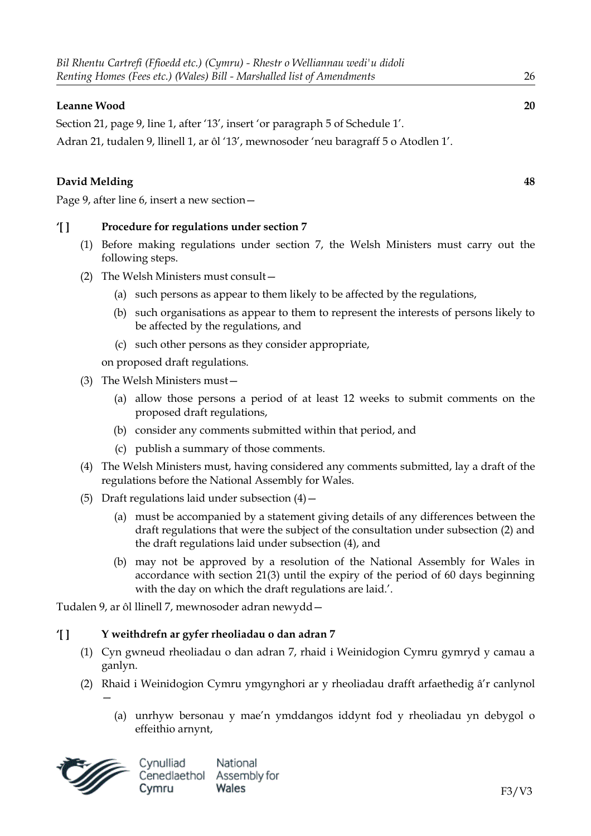### **Leanne Wood 20**

Section 21, page 9, line 1, after '13', insert 'or paragraph 5 of Schedule 1'.

Adran 21, tudalen 9, llinell 1, ar ôl '13', mewnosoder 'neu baragraff 5 o Atodlen 1'.

# **David Melding 48**

Page 9, after line 6, insert a new section—

**'[ ] Procedure for regulations under section 7**

- (1) Before making regulations under section 7, the Welsh Ministers must carry out the following steps.
- (2) The Welsh Ministers must consult—
	- (a) such persons as appear to them likely to be affected by the regulations,
	- (b) such organisations as appear to them to represent the interests of persons likely to be affected by the regulations, and
	- (c) such other persons as they consider appropriate,

on proposed draft regulations.

- (3) The Welsh Ministers must—
	- (a) allow those persons a period of at least 12 weeks to submit comments on the proposed draft regulations,
	- (b) consider any comments submitted within that period, and
	- (c) publish a summary of those comments.
- (4) The Welsh Ministers must, having considered any comments submitted, lay a draft of the regulations before the National Assembly for Wales.
- (5) Draft regulations laid under subsection  $(4)$  -
	- (a) must be accompanied by a statement giving details of any differences between the draft regulations that were the subject of the consultation under subsection (2) and the draft regulations laid under subsection (4), and
	- (b) may not be approved by a resolution of the National Assembly for Wales in accordance with section 21(3) until the expiry of the period of 60 days beginning with the day on which the draft regulations are laid.'.

Tudalen 9, ar ôl llinell 7, mewnosoder adran newydd—

### **'[ ] Y weithdrefn ar gyfer rheoliadau o dan adran 7**

- (1) Cyn gwneud rheoliadau o dan adran 7, rhaid i Weinidogion Cymru gymryd y camau a ganlyn.
- (2) Rhaid i Weinidogion Cymru ymgynghori ar y rheoliadau drafft arfaethedig â'r canlynol —
	- (a) unrhyw bersonau y mae'n ymddangos iddynt fod y rheoliadau yn debygol o effeithio arnynt,

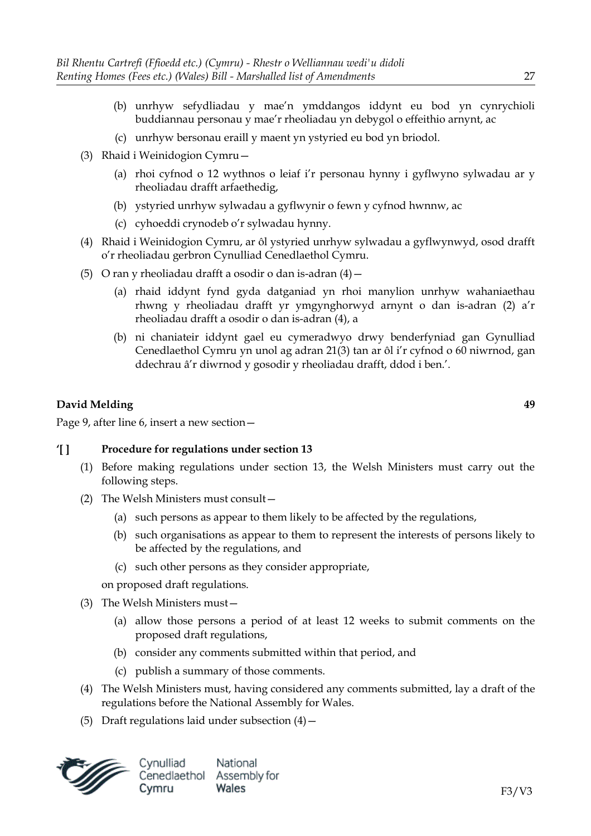- (b) unrhyw sefydliadau y mae'n ymddangos iddynt eu bod yn cynrychioli buddiannau personau y mae'r rheoliadau yn debygol o effeithio arnynt, ac
- (c) unrhyw bersonau eraill y maent yn ystyried eu bod yn briodol.
- (3) Rhaid i Weinidogion Cymru—
	- (a) rhoi cyfnod o 12 wythnos o leiaf i'r personau hynny i gyflwyno sylwadau ar y rheoliadau drafft arfaethedig,
	- (b) ystyried unrhyw sylwadau a gyflwynir o fewn y cyfnod hwnnw, ac
	- (c) cyhoeddi crynodeb o'r sylwadau hynny.
- (4) Rhaid i Weinidogion Cymru, ar ôl ystyried unrhyw sylwadau a gyflwynwyd, osod drafft o'r rheoliadau gerbron Cynulliad Cenedlaethol Cymru.
- (5) O ran y rheoliadau drafft a osodir o dan is-adran  $(4)$  -
	- (a) rhaid iddynt fynd gyda datganiad yn rhoi manylion unrhyw wahaniaethau rhwng y rheoliadau drafft yr ymgynghorwyd arnynt o dan is-adran (2) a'r rheoliadau drafft a osodir o dan is-adran (4), a
	- (b) ni chaniateir iddynt gael eu cymeradwyo drwy benderfyniad gan Gynulliad Cenedlaethol Cymru yn unol ag adran 21(3) tan ar ôl i'r cyfnod o 60 niwrnod, gan ddechrau â'r diwrnod y gosodir y rheoliadau drafft, ddod i ben.'.

Page 9, after line 6, insert a new section—

### **'[ ] Procedure for regulations under section 13**

- (1) Before making regulations under section 13, the Welsh Ministers must carry out the following steps.
- (2) The Welsh Ministers must consult—
	- (a) such persons as appear to them likely to be affected by the regulations,
	- (b) such organisations as appear to them to represent the interests of persons likely to be affected by the regulations, and
	- (c) such other persons as they consider appropriate,

on proposed draft regulations.

- (3) The Welsh Ministers must—
	- (a) allow those persons a period of at least 12 weeks to submit comments on the proposed draft regulations,
	- (b) consider any comments submitted within that period, and
	- (c) publish a summary of those comments.
- (4) The Welsh Ministers must, having considered any comments submitted, lay a draft of the regulations before the National Assembly for Wales.
- (5) Draft regulations laid under subsection  $(4)$  -